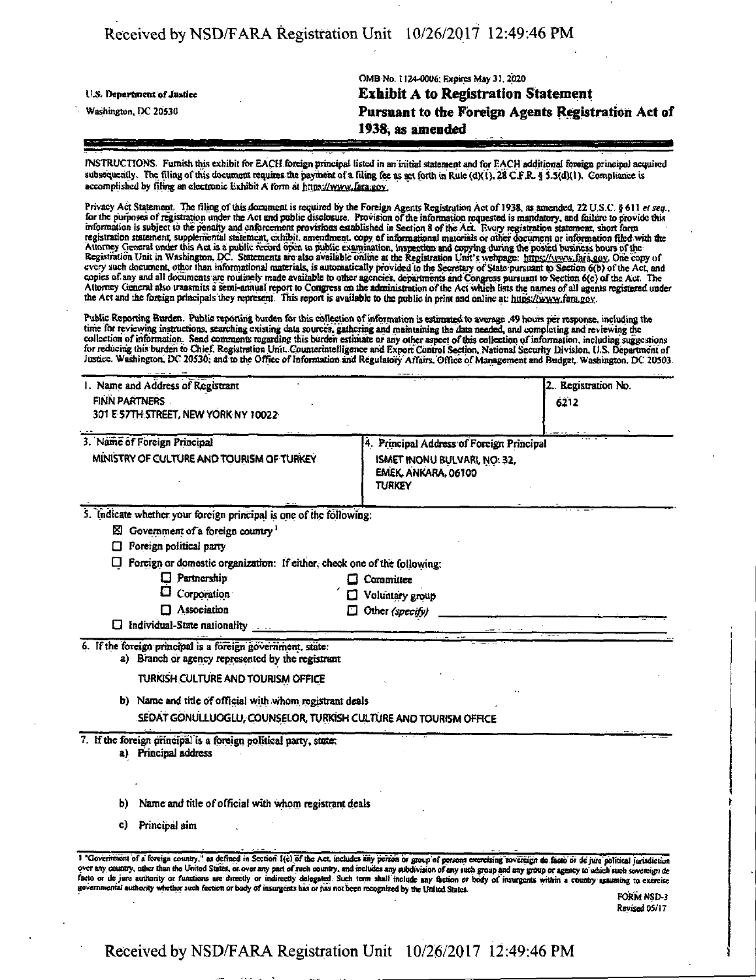|                            | OMB No. 1124-0006, Expires May 31, 2020            |
|----------------------------|----------------------------------------------------|
| U.S. Department of Justice | <b>Exhibit A to Registration Statement</b>         |
| Washington, DC 20530       | Pursuant to the Foreign Agents Registration Act of |
|                            | 1938, as amended                                   |
|                            |                                                    |

INSTRUCTIONS- Furnish this exhibit for EACH foreign principal listed in an initial statement and for EACH additional foreign principal acquired subsequently. The filing of this document requires the payment of a filing fee as set forth in Rule (d)(1). 28 C.F.R. § 5.5(d)(1). Compliance is accomplished by filing an electronic Exhibit A form at https://www.fara.gov.

Privacy Act Statement. The filing of this document is required by the Foreign Agents Registration Act of 1938, as amended, 22 U.S.C. § 611 et seq., for the purposes of registration under the Act and public disclosure. Prov every such document, other than informational materials, is automatically provided to the Secretary of State-pursuant to Section 6(b) of the Act, and copies of any and all documents are routinely made available to other agencies, departments and Congress pursuant to Section 6(c) of the Act. The Altorney General also transmits a semi-annual report to Congress oo tbe administration ofthe Act which lists the names of all agents registered under the Act and the foreign principals they represent. This report is available to the public in print and online at: https://www.fara.gov.

Public Reporting Burden. Public reporting burden for this collection of information is estiraatedto average .49 hours per response, including the time for reviewing instructions, searching existing data sources, gathering and maintaining the data needed, and completing and reviewing the collection of information. Send comments regarding this burden estimate or any other aspect of this collection of information, including suggestions for reducing this burden to Chief, Registration Unit. Counterintelligence and Export Control Section, National Security Division, U.S. Department of Justice, Washington, DC 20530; and to the Office of Information and Regulatory Affairs. Office of Management and Budget, Washington, DC 20503.

| 4. Principal Address of Foreign Principal                                                                                                                                                                                                                                                                                                                                                                                                                                                                                                                   |
|-------------------------------------------------------------------------------------------------------------------------------------------------------------------------------------------------------------------------------------------------------------------------------------------------------------------------------------------------------------------------------------------------------------------------------------------------------------------------------------------------------------------------------------------------------------|
|                                                                                                                                                                                                                                                                                                                                                                                                                                                                                                                                                             |
|                                                                                                                                                                                                                                                                                                                                                                                                                                                                                                                                                             |
|                                                                                                                                                                                                                                                                                                                                                                                                                                                                                                                                                             |
|                                                                                                                                                                                                                                                                                                                                                                                                                                                                                                                                                             |
|                                                                                                                                                                                                                                                                                                                                                                                                                                                                                                                                                             |
|                                                                                                                                                                                                                                                                                                                                                                                                                                                                                                                                                             |
|                                                                                                                                                                                                                                                                                                                                                                                                                                                                                                                                                             |
|                                                                                                                                                                                                                                                                                                                                                                                                                                                                                                                                                             |
|                                                                                                                                                                                                                                                                                                                                                                                                                                                                                                                                                             |
|                                                                                                                                                                                                                                                                                                                                                                                                                                                                                                                                                             |
|                                                                                                                                                                                                                                                                                                                                                                                                                                                                                                                                                             |
|                                                                                                                                                                                                                                                                                                                                                                                                                                                                                                                                                             |
|                                                                                                                                                                                                                                                                                                                                                                                                                                                                                                                                                             |
|                                                                                                                                                                                                                                                                                                                                                                                                                                                                                                                                                             |
|                                                                                                                                                                                                                                                                                                                                                                                                                                                                                                                                                             |
|                                                                                                                                                                                                                                                                                                                                                                                                                                                                                                                                                             |
| 1 "Government of a foreign country," as defined in Section 1(e) of the Act, includes any person or group of persons exercising sovereign de facto or de juro political jurisdiction<br>over any country, other than the United States, or over any part of such country, and includes any subdivision of any such group and any group or agency to which such sovereign de<br>facto or de jure authority or functions are directly or indirectly delegated. Such term shall include any faction or body of insurgents within a country assuming to exercise |

FORM NSD-3 Revised OS/17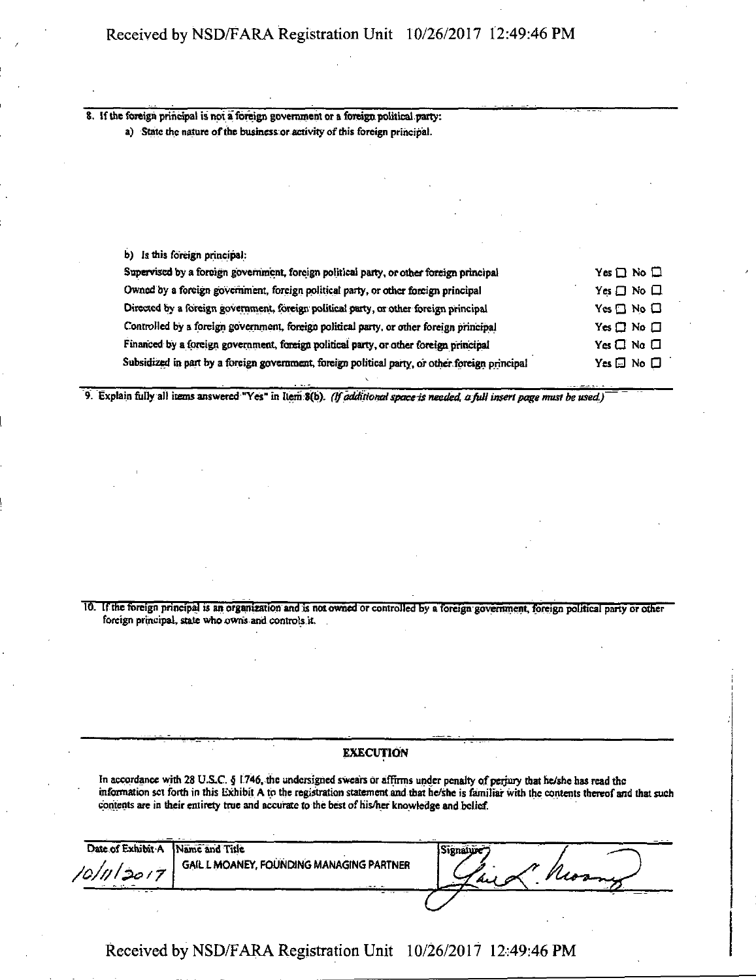8. If the foreign principal is not a foreign government or a foreign political party; a) State the nature of the business or activity of this foreign principal.

b) Is this foreign principal:

| Supervised by a foreign government, foreign political party, or other foreign principal         | Yes $\Box$ No $\Box$       |
|-------------------------------------------------------------------------------------------------|----------------------------|
| Owned by a foreign government, foreign political party, or other foreign principal              | $Yes \Box No \Box$         |
| Directed by a foreign government, foreign political party, or other foreign principal           | $Yes \Box No \Box$         |
| Controlled by a foreign government, foreign political party, or other foreign principal         | $Yes \Box No \Box$         |
| Financed by a foreign government, foreign political party, or other foreign principal           | $Yes \Box No \Box$         |
| Subsidized in part by a foreign government, foreign political party, or other foreign principal | Yes $\square$ No $\square$ |
|                                                                                                 |                            |

*9. Explain folly alt items answered "Yes" m Item 8(b). (ff additionalspace is needed, a fidI insert page must be used)* 

10. If the foreign principal is an organisation and is not owned or controlled by a foreign government, foreign political party or other foreign principal, state who owns and controls it.

### EXECUTION

In accordance with 28 U.S.C. § 1746, the undersigned swears or affirms under penalty of perjury that he/she has read the mformation set forth in this Exhibit A to the registration statement and that he/she is familiar with the contents thereof and that such contents are in their entirety true and accurate to the best of his/her knowledge and belief.

| Date of Exhibit A | Name and Title                           | Signatur |
|-------------------|------------------------------------------|----------|
| 10/11/2017        | GAIL L MOANEY, FOUNDING MANAGING PARTNER | AU       |
|                   |                                          |          |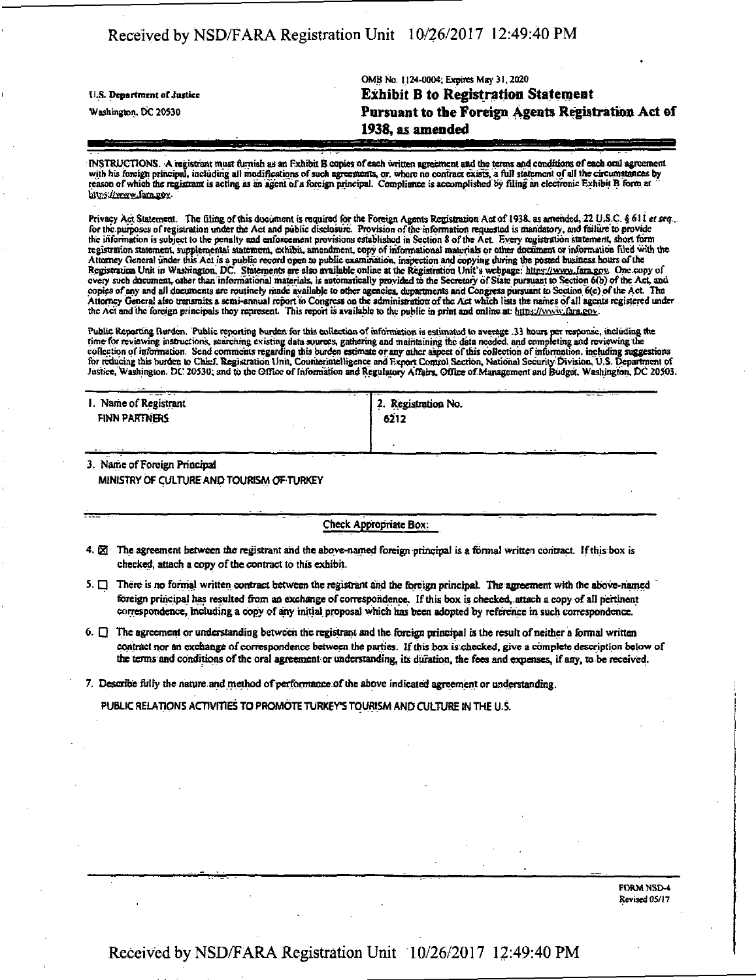| U.S. Department of Justice | OND NO. I ZEFOUT EXPIRES MAY 21, ZUZU<br><b>Exhibit B to Registration Statement</b> |
|----------------------------|-------------------------------------------------------------------------------------|
| Washington, DC 20530       | Pursuant to the Foreign Agents Registration Act of                                  |
|                            | 1938, as amended                                                                    |

DESTRUCTIONS. A registrant most famish as an F.xhtbil B copies of each written agreement and the terms and conditions of each oral agreement with his foreign principal, including all modifications of such agreements, or, where no contract exists, a full statement of all the circumstances by reason of which the registrant is acting as an agent of a foreign principal. Compliance is accomplished by filing an electronic Exhibit B form at " https://www.fara.gov.

OMB No. 1124-0004; Expires May 31.2020

Privacy Act Statement. The filing of this document is required for the Foreign Agents Registration Act of 1938. as amended, 22 U.S.C. § 611 et seq.. for the purposes of registration under the Act and public disclosure. Provision of the information requested is mandatory, and failure to provide the information is subject lo the penalty and enforcement provisions established in Section 8 ofthe Act- Every registration statement, short form registration statement, supplemental statement, exhibit, amendment, copy of informational materials or other document or information filed with the Attorney Genera] under this' Actis a public record open to publk inspection and copying during the posted business hours ofthe Registration Unit in Washington. DC. Statements are also available online at the Registration Unit's webpage: https://www.fara.gov. One copy of every such document, other tlian informational materials, is automatically provided to the Secretary of State pursuant to Section 6(b) of the Act, and copies of any and all documents ore routinely made available to other agencies, departments and Congress pursuant to Section 6(c) of the Act The Attorney General also transmits a semi-annual report to Congress on the administration of the Act which lists the names of all agents registered under the Act and the foreign principals they represent. This report is available to the public in print and online at: https://www.fara.cox.

Public Reporting Burden. Public reporting burden for this collection of information is estimated to average .33 hours per response, including the<br>time for reviewing instructions, scarching existing data sources, gathering collection of information. Send comments regarding this burden estimate or any other aspect of this collection of information. including suggestions for reducing this burden to Chief. Registration Unit, Counterintelligence and Export Control Section, National Security Division, U.S. Department of Justice, Washington. DC 20530; and 10 the Office of Information and Regulatory Affairs, Office of Management and Budget, Washington. DC 205O3.

| --- -<br>$\cdot$ $\cdot$<br>I. Name of Registrant<br>FINN PARTNERS | <br>.<br>------<br>2. Registration No.<br>6212 |
|--------------------------------------------------------------------|------------------------------------------------|
| $ -$<br>. .<br>$\cdots$ $\cdots$                                   | $- - -$<br>                                    |

3. Name of Foreign Principal MINISTRY OF CULTURE AND TOURISM OF TURKEY

Check Appropriate Box:

- 4.  $\boxtimes$  The agreement between the registrant and the above-named foreign principal is a formal written contract. If this box is checked, attach a copy of the contract to this exhibit.
- $5.$  There is no formal written contract between the registrant and the foreign principal. The agreement with the above-named foreign principal has resulted from ao exchange of correspondence. If this box is checked, attach a copy of all pertinent correspondence, including a copy of any initial proposal which has been adopted by reference in such correspondence.
- $6. \Box$  The agreement or understanding between the registrant and the foreign principal is the result of neither a formal written contract nor an exchange of correspondence between the parties. If this box is checked, give a complete description below of the terms and conditions of the oral agreement or understanding, its duration, the fees and expenses, if any, to be received.

7. Describe fully the nature and method of performance of the above indicated agreement or understanding.

PUBLIC RELATIONS ACTIVITIES TO PROMOTE TURKEY'S TOURISM AND CULTURE IN THE U.S.

FORM NSD-4 Revised 05/17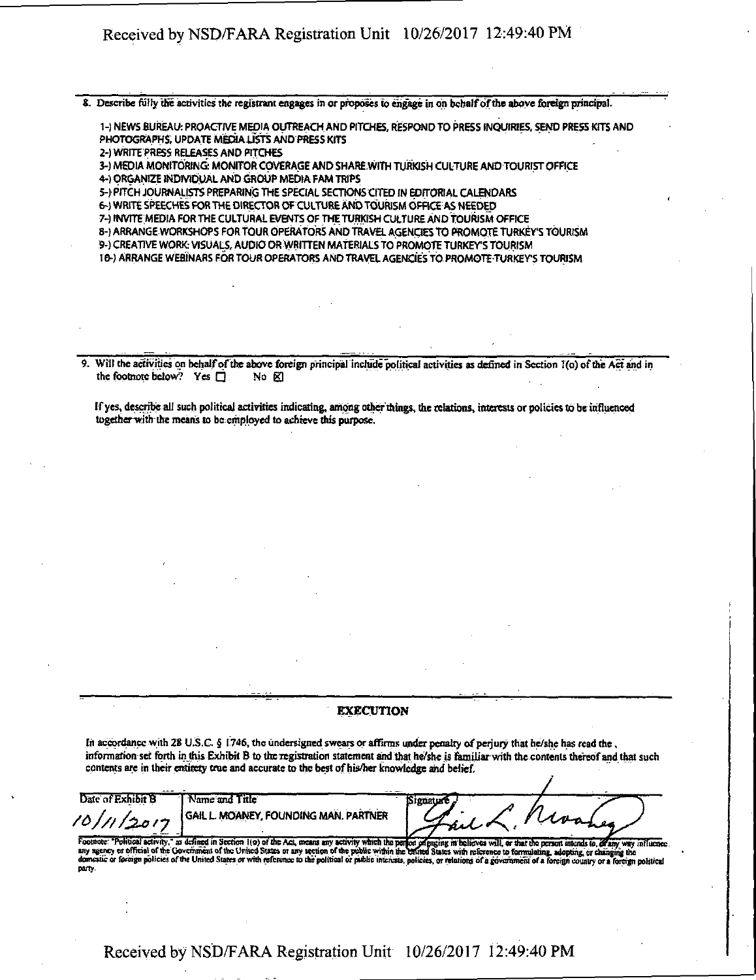8. Describe fully me activities the registrant engages in or proposes to engage in on behalf of the above foreign principal.

1- ) NEWS BUREAU: PROACTIVE MEDIA OUTREACH AND PITCHES, RESPOND TO PRESS INQUIRIES SEND PRESS KITS AND PHOTOGRAPHS, UPDATE MEDIA USTS AND PRESS KITS

2-) WRITE PRESS RELEASES AND PITCHES

3- ) MEDIA MONITORING MONITOR COVERAGE AND 5HARE.WITH TURKISH CULTURE AND TOURIST OFFICE

4- ) ORGANIZE INDIVIDUAL AND GROUP MEDIA FAM TRIPS

5- ) PITCH JOURNALISTS PREPARING THE SPECIAL SECTIONS CITED IN EDITORIAL CALENDARS

6- } WRITE SPEECHES FOR THE DIRECTOR OF CULTURE AND TOURISM ©FFICEAS NEEDED

7-) INVITE MEDIA FOR THE CULTURAL EVENTS OF THE TURKISH CULTURE AND TOURISM OFFICE

8-) ARRANGE WORKSHOPS FOR TOUR OPERATORS AND TRAVEL AGENCIES TO PROMOTE TURKEY'S TOURISM

9- ) CREATIVE WORK: VISUALS, AUDIO OR WRITTEN MATERIALS TO PROMOTE TURKEY'S TOURISM

10- ) ARRANGE WEBINARS FOR TOUR OPERATORS AND TRAVEL AGENCIES TO PROMOTE TURKEY'S TOURISM

Will the activities on behalf of the above foreign principal include political activities as defined in Section 1(o) of the Act and in the footnote below? Yes  $\Box$  No  $\boxtimes$ the footnote below? Yes  $\Box$ 

If yes, describe all such political activities indicating, among other things, the relations, interests or policies to be influenced togetherwith the means to be employed to achieve this purpose.

#### EXECUTION

In accordance with 28 U.S.C. § 1746, the undersigned swears or affirms under penalty of perjury that he/she has read the. information set forth in this Exhibit B to the registration statement and that he/she is familiar with the contents thereof and that such contents are in their entirety true and accurate to the best of his/her knowledge and belief.

Date of Exhibit B Name and Title Signatu GAIL L MOANEY, FOUNDING MAN. PARTNER 10/11/2017

Footnote: "Political activity," as defined in Section 1(o) of the Act, means any activity which the perion ideaging in helicves will, or that the person intends to, of any way influence.<br>any agency or official of the Gover domestic or foreign policies of the United States or with reference to the political or public interests, policies, or relations of a government of a foreign country or a foreign political party.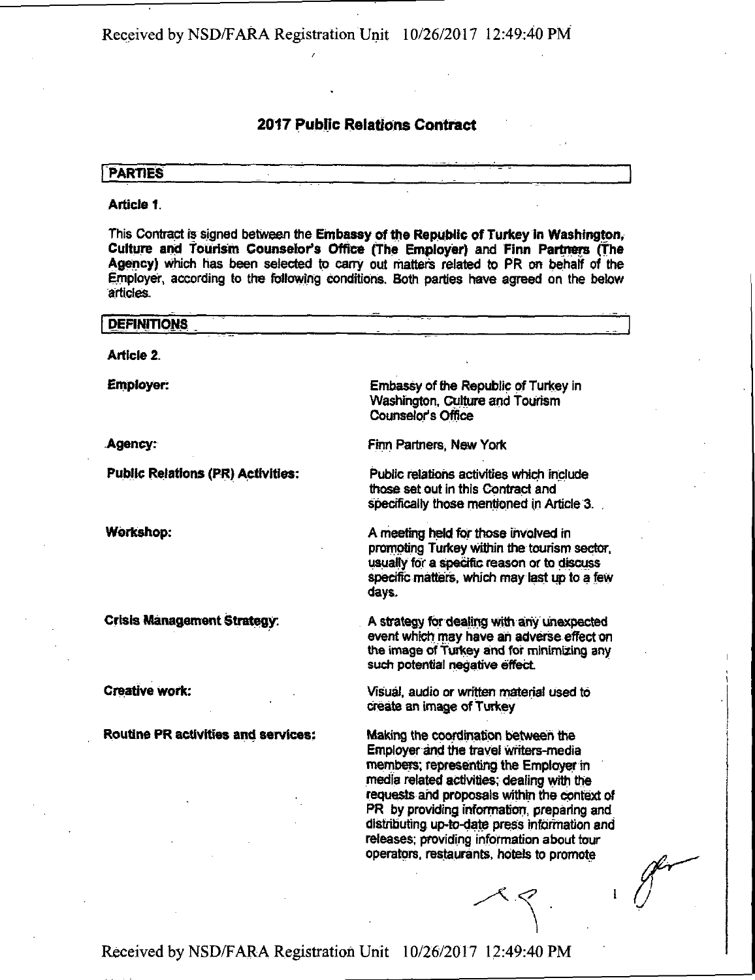# **2017 Public Relations Contract**

## **PARTIES**

### **Article 1.**

This Contract is signed between the Embassy of the Republic of Turkey in Washington, Culture and Tourism Counselor's Office (The Employer) and Finn Partners (The Agency) which has been selected to carry out matters related to PR on behalf of the Employer, according to the following conditions. Both parties have agreed on the below articles.

| <b>DEFINITIONS</b>                         |                                                                                                                                                                                                                                                                                                                                                                                                               |
|--------------------------------------------|---------------------------------------------------------------------------------------------------------------------------------------------------------------------------------------------------------------------------------------------------------------------------------------------------------------------------------------------------------------------------------------------------------------|
| <b>Article 2.</b>                          |                                                                                                                                                                                                                                                                                                                                                                                                               |
| <b>Employer:</b>                           | Embassy of the Republic of Turkey in<br>Washington, Culture and Tourism<br><b>Counselor's Office</b>                                                                                                                                                                                                                                                                                                          |
| Agency:                                    | Finn Partners, New York                                                                                                                                                                                                                                                                                                                                                                                       |
| <b>Public Relations (PR) Activities:</b>   | Public relations activities which include<br>those set out in this Contract and<br>specifically those mentioned in Article 3.                                                                                                                                                                                                                                                                                 |
| Workshop:                                  | A meeting held for those involved in<br>promoting Turkey within the tourism sector,<br>usually for a specific reason or to discuss<br>specific matters, which may last up to a few<br>days.                                                                                                                                                                                                                   |
| <b>Crisis Management Strategy:</b>         | A strategy for dealing with any unexpected<br>event which may have an adverse effect on<br>the image of Turkey and for minimizing any<br>such potential negative effect.                                                                                                                                                                                                                                      |
| <b>Creative work:</b>                      | Visual, audio or written material used to<br>create an image of Turkey                                                                                                                                                                                                                                                                                                                                        |
| <b>Routine PR activities and services:</b> | Making the coordination between the<br>Employer and the travel writers-media<br>members; representing the Employer in<br>media related activities; dealing with the<br>requests and proposals within the context of<br>PR by providing information, preparing and<br>distributing up-to-date press information and<br>releases; providing information about tour<br>operators, restaurants, hotels to promote |
|                                            |                                                                                                                                                                                                                                                                                                                                                                                                               |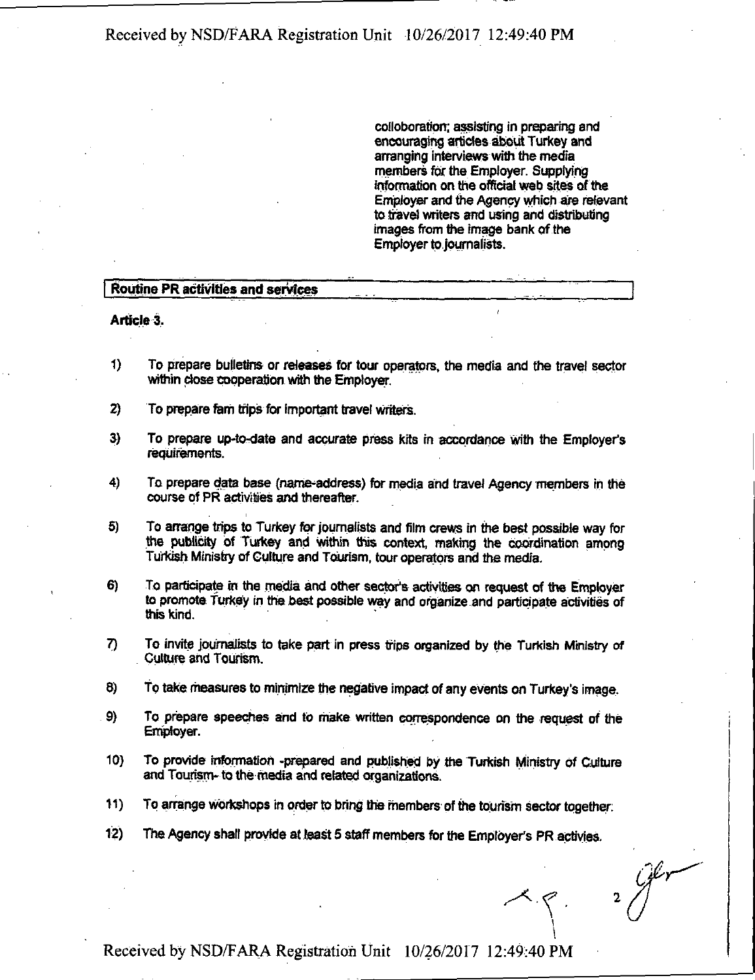coiloboration; assisting in preparing and encouraging articles about Turkey and arranging interviews with the media members for the Employer. Supplying information on the official web sites of the Employer and the Agency which are relevant to travel writers and using and distributing images from the Image bank of the Employer to journalists.

### **Routine PR activities and services**

**Article 3.** 

- 1) To prepare bulletins or releases for tour operators, the media and the travel sector within close cooperation with the Employer.
- 2) To prepare fam trips for important travel writers.
- 3) To prepare up-to-date and accurate press kits in accordance with the Employer's requirements,
- 4) To prepare data base (name-address) for media and travel Agency members in the course of PR activities and thereafter.
- 5) To arrange trips to Turkey for journalists and film crews in the best possible way for the publicity of Turkey and within this context, making the coordination among Turkish Ministry of Culture and Tourism, tour operators and the media.
- 6) To participate in the media and other sector's activities on request of the Employer to promote Turkey in the best possible way and organize and participate activities of this kind.
- 7) To invite journalists to take part in press trips organized by the Turkish Ministry of Culture and Tourism.
- a) To take measures to minimize the negative impact of any events on Turkey's image.
- 9} To prepare speeches and to make written correspondence on the request of the Employer.
- 10) To provide information -prepared and published by the Turkish Ministry of Culture and Tourism- to the media and related organizations.
- 11) To arrange workshops in order to bring the members of the tourism sector together;
- 12) The Agency shall provide at least 5 staff members for the Employer's PR actiyies.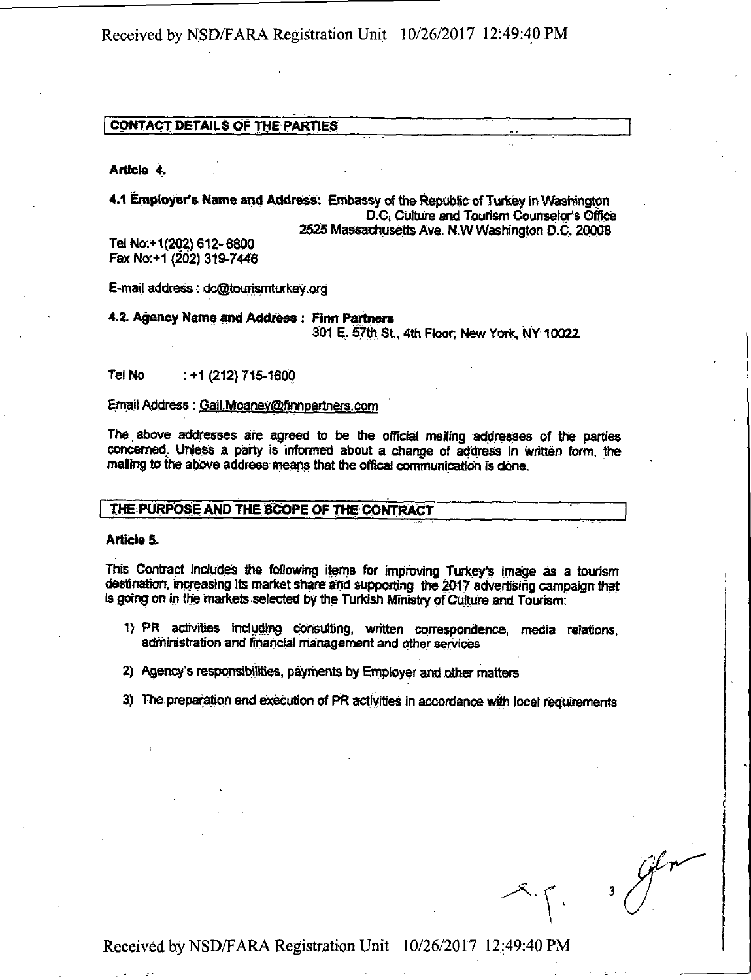### **CQMTACT DETAILS OF THE PARTIES**

**Article 4.** 

**4.1 Employer's Name and Address: Embassy of the Republic of Turkey in Wasmngtpn D.C, Culture and Tourism Counselors Office 2525 Massachusetts Ave. N.W Washington D.C. 20008 Tel No:+1(202) 612-6800** 

**Fax Nor+1 (202) 319-7446** 

**E-mail address; dc@tourrarriturkey.org** 

**4.2. Agency Name and Address : Finn Partners 301 E, 57m St, 4th Floor. New York, NY 10022** 

**Tel No : +1 (212) 716-1600** 

## Email Address: Gail.Moaney@finnpartners.com

The above addresses are agreed to be the official mailing addresses of the parties concerned. Unless a party is informed about a change of address in written form, the **mailing to the above address means that the office! communication is done.** 

## **THE PURPOSE AND THE SCOPE OF THE CONTRACT**

#### **Article 5.**

**This Contract includes the following items for improving Turkey's image as a tourism**  destination, increasing its market share and supporting the 2017 advertising campaign that **is going on in the markets selected by the Turkish Ministry of Culture and Tourism:** 

- **1) PR activities induding consulting, written correspondence, media relations, administration and financial management and other services**
- **2) Agency's responsibilities, payments by Employer and other matters**
- **3) Tne preparation and execution of PR activities in accordance with local requirements**

**3**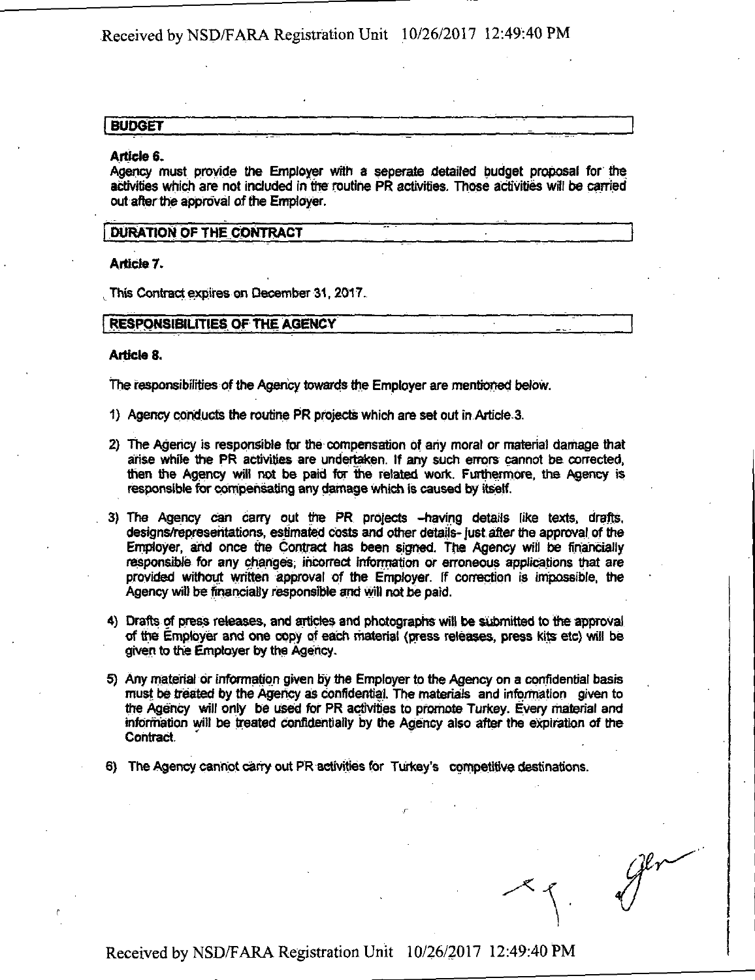# **BUDGET**

#### **Article 6.**

Agency must provide the Employer with a seperate detailed budget proposal for the activities which are not included in the routine PR activities. Those activities will be carried out after the approval of the Employer.

### **DURATION OF THE CONTRACT**

**Article 7.** 

**This Contract expires on December 31,2017.** 

#### **RESPONSIBILITIES OF THE AGENCY**

### **Article 8.**

The responsibilities of the Agency towards the Employer are mentioned below.

- 1) Agency conducts the routine PR projects which are set out in Article 3.
- 2} The Agency is responsible for the compensation of any moral or material damage that arise while the PR activities are undertaken. If any such errors cannot be corrected, then the Agency will not be paid for tine related work. Furthermore, the Agency is responsible for compensating any damage which is caused by itself.
- 3) The Agency can carry out the PR projects -having details like texts, drafts, designs/representations, estimated costs and other details-just after the approval of the Employer, and once the Contract has been signed. The Agency will be financially responsible for any changes, incorrect information or erroneous applications that are provided without written approval of the Employer. If correction is impossible, the Agency wilt be financially responsible and will not be paid.
- 4) Drafts of press releases, and articles and photographs will be submitted to tie approval of the Employer and one copy of each material (press releases, press kits etc) will be given to the Employer by the Agency.
- 5) Any material or information given by the Employer to the Agency on a confidential basis must be treated by the Agency as confidential. The materials and information given to the Agency will only be used for PR activities to promote Turkey. Every material and information wilt be treated confidentially by the Agency also after the expiration of the Contract.
- 6) The Agency cannot carry out PR activities for Turkey's competitive destinations.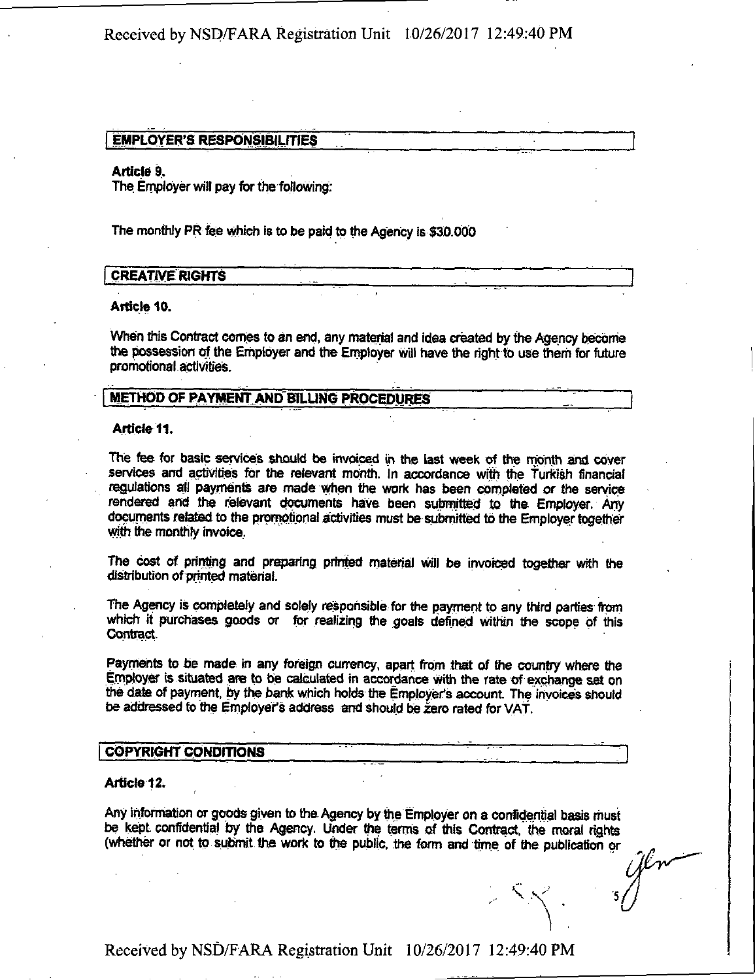### **EMPLOYER'S RESPONSIBILITIES**

### **Article 9.**

**The Employer will pay for the following:** 

**The monthly PR fee which is to be paid to the Agency is \$30,000** 

### **CREATIVE RIGHTS**

### **Article 10.**

**When this Contract comes to an end, any material and idea created by the Agency become the possession of the Employer and the Employer will have the right to use them for future promotional activities.** 

## **METHOD OF PAYMENT AND BILLING PROCEDURES**

#### **Article 11.**

**The fee for basic services should be invoiced in the last week of the month and cover**  services and activities for the relevant month. In accordance with the Turkish financial **regulations all payments are made when the work has been completed or the service**  rendered and the relevant documents have been submitted to the Employer. Any **documents related to the promotional activities must be submitted tb the Employer together with the monthly invoice,** 

**The cost of printing and preparing printed material will be invoiced together with the distribution of printed material.** 

**The Agency is completely and solely responsible for the payment to any third parties from which it purchases goods or for realizing the goals defined within the scope of this Contract.** 

Payments to be made in any foreign currency, apart from that of the country where the **Employer is situated are to be calculated in accordance with the rate of exchange set on the date of payment, by the bank which holds the Employer's account. The invoices should be addressed to me Employer's address and should be zero rated for VAT.** 

## **COPYRIGHT CONDITIONS**

#### **Article 12.**

**Any information or goods given to the Agency by me Employer on a confidential basis must**  be kept confidential by the Agency. Under the terms of this Contract, the moral rights **(whether or not to submit the work to the public, the form and time of the publication or** 

**\**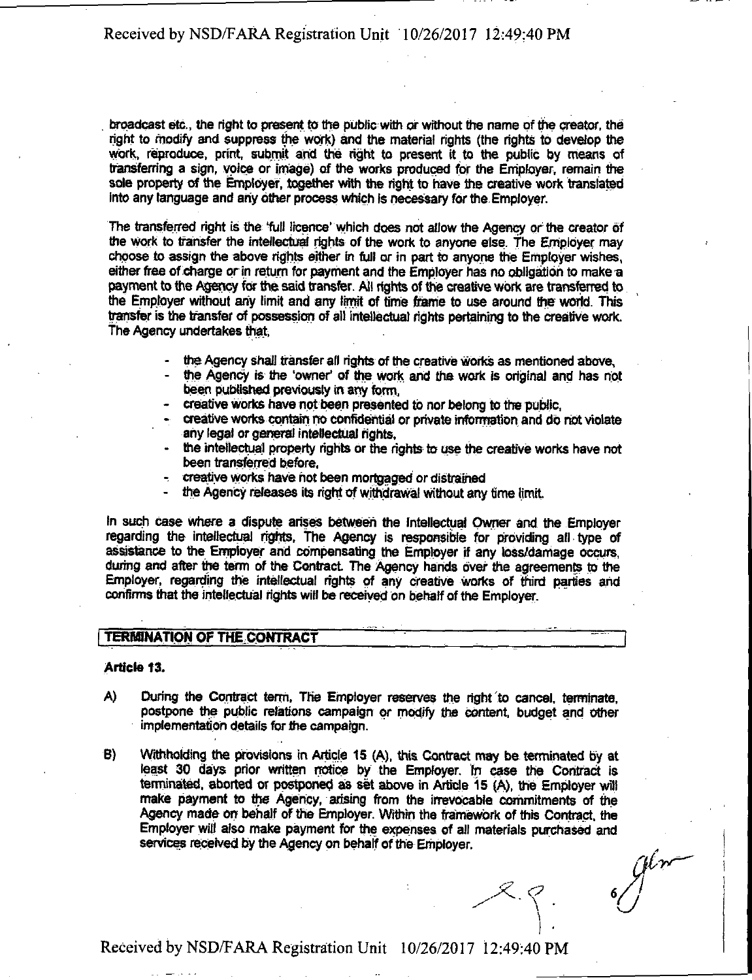broadcast etc., the right to present to the public with or without the name of the creator, the right to modify and suppress the work) and the material rights (the rights to develop the work, reproduce, print, submit and the right to present it to the public by means of transferring a sign, voice or image) of the works produced tor the Employer, remain the sole property of the Employer, together with the right to have the creative work translated into any language and any other process which is necessary for the. Employer.

The transferred right is the full licence' which does not ailow the Agency or the creator of the work to transfer the intellectual rights of the work to anyone else. The Employer may choose to assign the above rights either in full or in part to anyone the Employer wishes, either free of charge or in return for payment and the Employer has no obligation to make a payment to the Agency for the said transfer. AH rights of the creative work are transferred to the Employer without any limit and any limit of time frame to use around the world. This transfer is the transfer of possession of ait intellectual rights pertaining to the creative work, The Agency undertakes that,

- the Agency shall transfer all rights of the creative works as mentioned above,
- the Agency is the 'owner' of the work and the work is original and has not been published previously in any form,
- creative works have not been presented to nor belong to the public.
- creative works contain no confidential or private information and do not violate any legal or general intellectual rights,
- the intellectual property rights or the rights to use the creative works have not been transferred before,
- creative works have not been mortgaged or distrained
- the Agency releases its right of withdrawal without any time limit.

In such case where a dispute arises between the Intellectual Owner and the Employer regarding the intellectual rights, The Agency is responsible for providing all type of assistance to the Employer and compensating the Employer if any loss/damage occurs, during and after the term of the Contract The Agency hands over the agreements to the Employer, regarding the intellectual rights of any creative works of third parties arid confirms that the intellectual rights will be received on behalf of the Employer.

## **TERMINATION OF THE CONTRACT**

#### **Article 13.**

- A) During the Contract term, The Employer reserves the right to cancel, terminate, postpone the public relations campaign or modify the content, budget and other implementation details for the campaign.
- B) Withholding the provisions in Article 15 (A), this Contract may be terminated by at least 30 days prior written notice by the Employer, m case the Contract is terminated, aborted or postponed as set above in Article 15 (A), the Employer will make payment to the Agency, arising from the irrevocable commitments of the Agency made on behalf of the Employer. Within the framework of this Contract, the Employer will also mate payment for the expenses of all materials purchased and services received by the Agency on behalf of the Employer.

 $x, y, y$